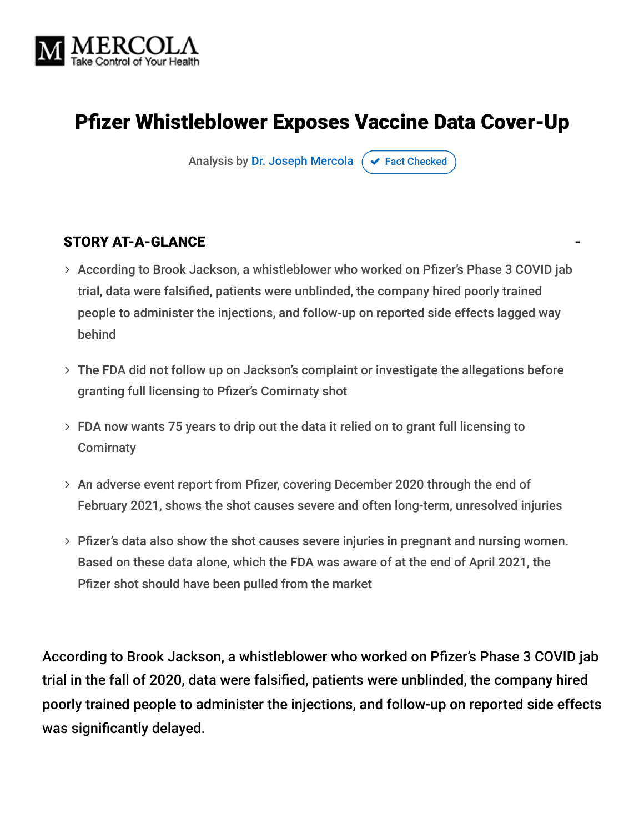

# Pfizer Whistleblower Exposes Vaccine Data Cover-Up

Analysis by [Dr. Joseph Mercola](https://www.mercola.com/forms/background.htm)  $\sigma$  [Fact Checked](javascript:void(0))

#### STORY AT-A-GLANCE

- According to Brook Jackson, a whistleblower who worked on Pfizer's Phase 3 COVID jab trial, data were falsified, patients were unblinded, the company hired poorly trained people to administer the injections, and follow-up on reported side effects lagged way behind
- The FDA did not follow up on Jackson's complaint or investigate the allegations before granting full licensing to Pfizer's Comirnaty shot
- FDA now wants 75 years to drip out the data it relied on to grant full licensing to **Comirnaty**
- An adverse event report from Pfizer, covering December 2020 through the end of February 2021, shows the shot causes severe and often long-term, unresolved injuries
- Pfizer's data also show the shot causes severe injuries in pregnant and nursing women. Based on these data alone, which the FDA was aware of at the end of April 2021, the Pfizer shot should have been pulled from the market

According to Brook Jackson, a whistleblower who worked on Pfizer's Phase 3 COVID jab trial in the fall of 2020, data were falsified, patients were unblinded, the company hired poorly trained people to administer the injections, and follow-up on reported side effects was significantly delayed.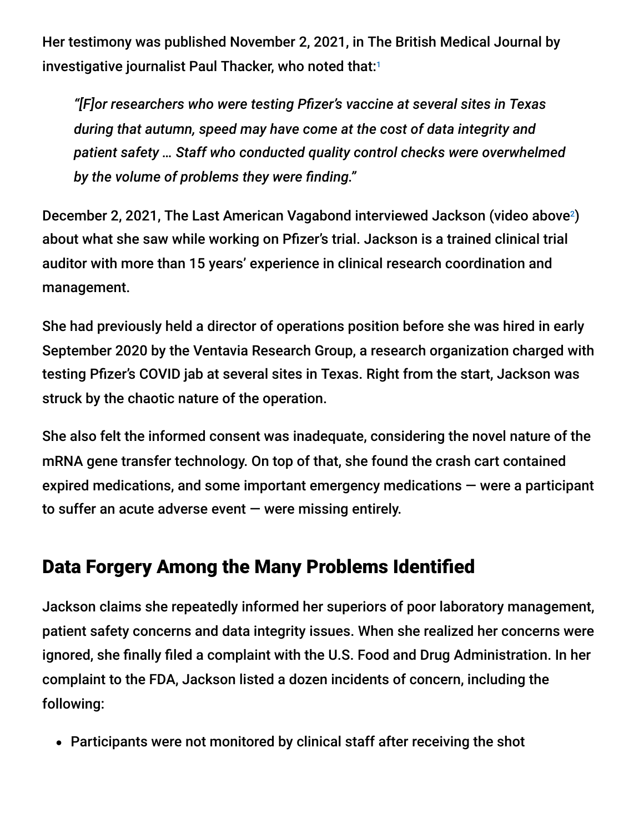Her testimony was published November 2, 2021, in The British Medical Journal by investigative journalist Paul Thacker, who noted that: 1

*"[F]or researchers who were testing Pfizer's vaccine at several sites in Texas during that autumn, speed may have come at the cost of data integrity and patient safety … Staff who conducted quality control checks were overwhelmed by the volume of problems they were finding."*

December 2, 2021, The Last American Vagabond interviewed Jackson (video above<sup>2</sup>) about what she saw while working on Pfizer's trial. Jackson is a trained clinical trial auditor with more than 15 years' experience in clinical research coordination and management.

She had previously held a director of operations position before she was hired in early September 2020 by the Ventavia Research Group, a research organization charged with testing Pfizer's COVID jab at several sites in Texas. Right from the start, Jackson was struck by the chaotic nature of the operation.

She also felt the informed consent was inadequate, considering the novel nature of the mRNA gene transfer technology. On top of that, she found the crash cart contained expired medications, and some important emergency medications — were a participant to suffer an acute adverse event — were missing entirely.

# Data Forgery Among the Many Problems Identified

Jackson claims she repeatedly informed her superiors of poor laboratory management, patient safety concerns and data integrity issues. When she realized her concerns were ignored, she finally filed a complaint with the U.S. Food and Drug Administration. In her complaint to the FDA, Jackson listed a dozen incidents of concern, including the following:

Participants were not monitored by clinical staff after receiving the shot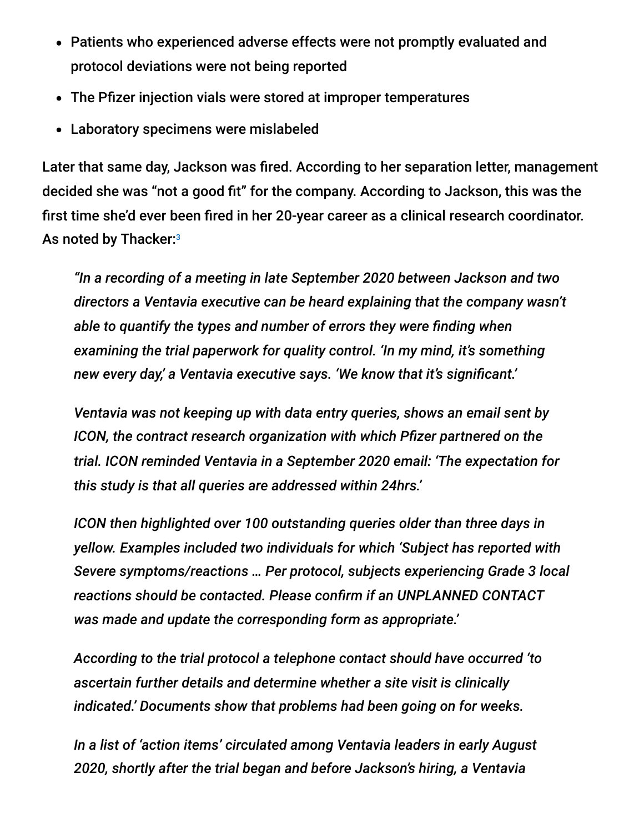- Patients who experienced adverse effects were not promptly evaluated and protocol deviations were not being reported
- The Pfizer injection vials were stored at improper temperatures
- Laboratory specimens were mislabeled

Later that same day, Jackson was fired. According to her separation letter, management decided she was "not a good fit" for the company. According to Jackson, this was the first time she'd ever been fired in her 20-year career as a clinical research coordinator. As noted by Thacker:<sup>3</sup>

*"In a recording of a meeting in late September 2020 between Jackson and two directors a Ventavia executive can be heard explaining that the company wasn't able to quantify the types and number of errors they were finding when examining the trial paperwork for quality control. 'In my mind, it's something new every day,' a Ventavia executive says. 'We know that it's significant.'*

*Ventavia was not keeping up with data entry queries, shows an email sent by ICON, the contract research organization with which Pfizer partnered on the trial. ICON reminded Ventavia in a September 2020 email: 'The expectation for this study is that all queries are addressed within 24hrs.'*

*ICON then highlighted over 100 outstanding queries older than three days in yellow. Examples included two individuals for which 'Subject has reported with Severe symptoms/reactions … Per protocol, subjects experiencing Grade 3 local reactions should be contacted. Please confirm if an UNPLANNED CONTACT was made and update the corresponding form as appropriate.'*

*According to the trial protocol a telephone contact should have occurred 'to ascertain further details and determine whether a site visit is clinically indicated.' Documents show that problems had been going on for weeks.*

*In a list of 'action items' circulated among Ventavia leaders in early August 2020, shortly after the trial began and before Jackson's hiring, a Ventavia*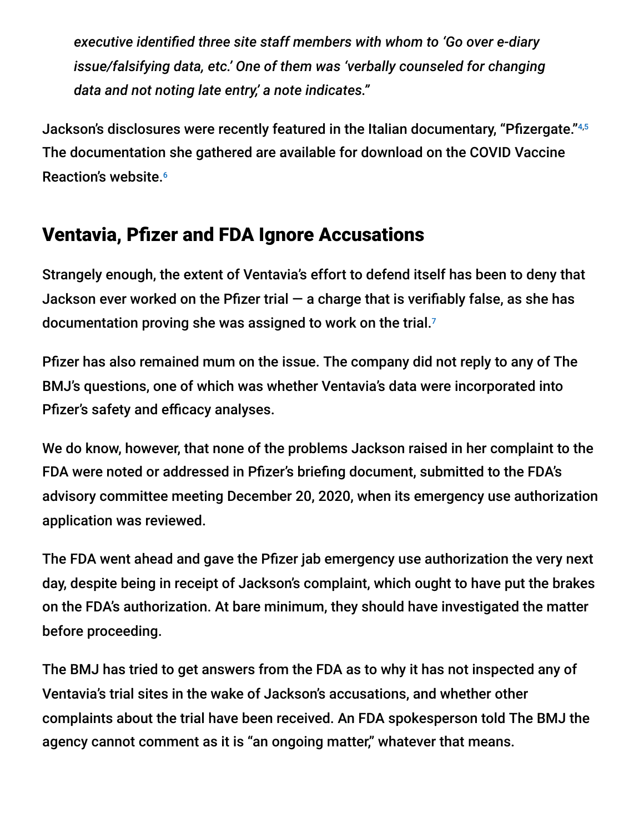*executive identified three site staff members with whom to 'Go over e-diary issue/falsifying data, etc.' One of them was 'verbally counseled for changing data and not noting late entry,' a note indicates."*

Jackson's disclosures were recently featured in the Italian documentary, "Pfizergate." 4,5 The documentation she gathered are available for download on the COVID Vaccine Reaction's website. 6

### Ventavia, Pfizer and FDA Ignore Accusations

Strangely enough, the extent of Ventavia's effort to defend itself has been to deny that Jackson ever worked on the Pfizer trial  $-$  a charge that is verifiably false, as she has documentation proving she was assigned to work on the trial.<sup>7</sup>

Pfizer has also remained mum on the issue. The company did not reply to any of The BMJ's questions, one of which was whether Ventavia's data were incorporated into Pfizer's safety and efficacy analyses.

We do know, however, that none of the problems Jackson raised in her complaint to the FDA were noted or addressed in Pfizer's briefing document, submitted to the FDA's advisory committee meeting December 20, 2020, when its emergency use authorization application was reviewed.

The FDA went ahead and gave the Pfizer jab emergency use authorization the very next day, despite being in receipt of Jackson's complaint, which ought to have put the brakes on the FDA's authorization. At bare minimum, they should have investigated the matter before proceeding.

The BMJ has tried to get answers from the FDA as to why it has not inspected any of Ventavia's trial sites in the wake of Jackson's accusations, and whether other complaints about the trial have been received. An FDA spokesperson told The BMJ the agency cannot comment as it is "an ongoing matter," whatever that means.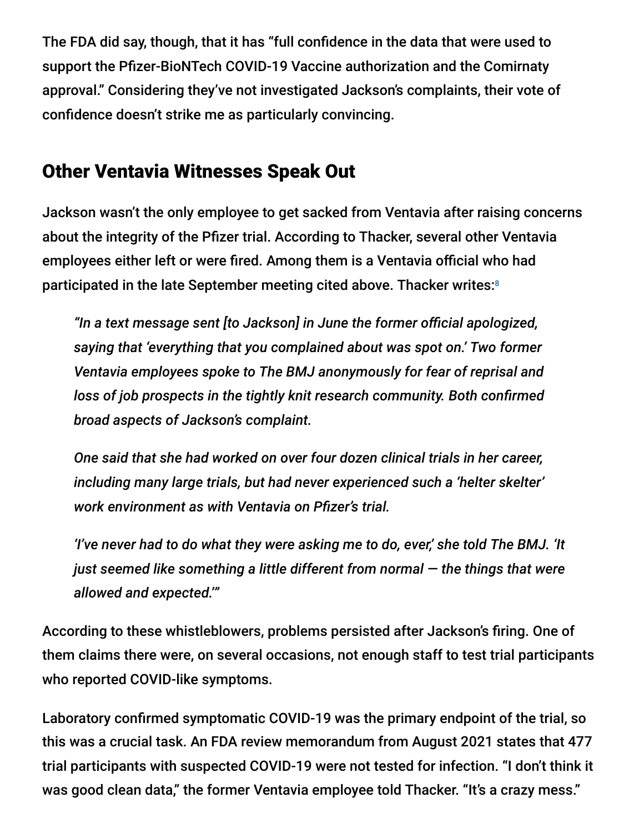The FDA did say, though, that it has "full confidence in the data that were used to support the Pfizer-BioNTech COVID-19 Vaccine authorization and the Comirnaty approval." Considering they've not investigated Jackson's complaints, their vote of confidence doesn't strike me as particularly convincing.

#### Other Ventavia Witnesses Speak Out

Jackson wasn't the only employee to get sacked from Ventavia after raising concerns about the integrity of the Pfizer trial. According to Thacker, several other Ventavia employees either left or were fired. Among them is a Ventavia official who had participated in the late September meeting cited above. Thacker writes: 8

*"In a text message sent [to Jackson] in June the former official apologized, saying that 'everything that you complained about was spot on.' Two former Ventavia employees spoke to The BMJ anonymously for fear of reprisal and loss of job prospects in the tightly knit research community. Both confirmed broad aspects of Jackson's complaint.*

*One said that she had worked on over four dozen clinical trials in her career, including many large trials, but had never experienced such a 'helter skelter' work environment as with Ventavia on Pfizer's trial.*

*'I've never had to do what they were asking me to do, ever,' she told The BMJ. 'It just seemed like something a little different from normal — the things that were allowed and expected.'"*

According to these whistleblowers, problems persisted after Jackson's firing. One of them claims there were, on several occasions, not enough staff to test trial participants who reported COVID-like symptoms.

Laboratory confirmed symptomatic COVID-19 was the primary endpoint of the trial, so this was a crucial task. An FDA review memorandum from August 2021 states that 477 trial participants with suspected COVID-19 were not tested for infection. "I don't think it was good clean data," the former Ventavia employee told Thacker. "It's a crazy mess."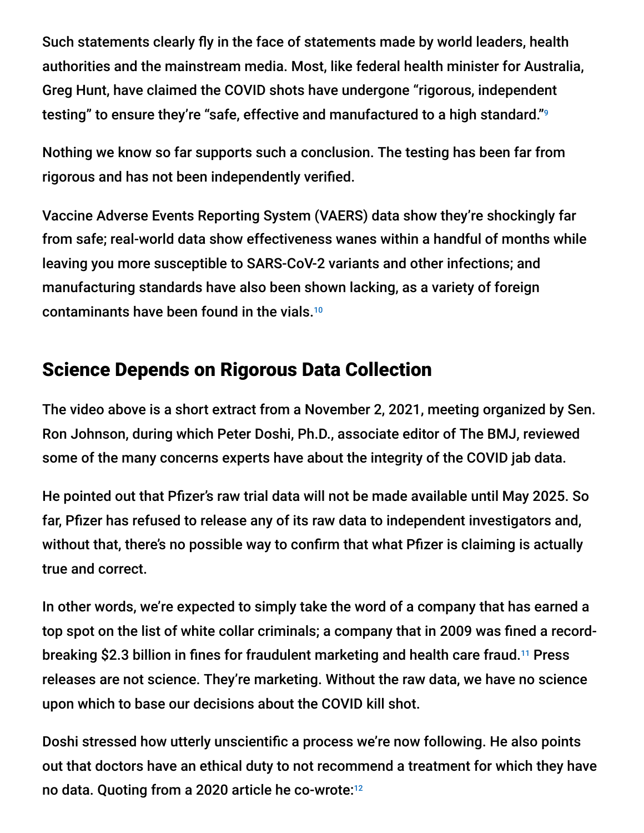Such statements clearly fly in the face of statements made by world leaders, health authorities and the mainstream media. Most, like federal health minister for Australia, Greg Hunt, have claimed the COVID shots have undergone "rigorous, independent testing" to ensure they're "safe, effective and manufactured to a high standard." 9

Nothing we know so far supports such a conclusion. The testing has been far from rigorous and has not been independently verified.

Vaccine Adverse Events Reporting System (VAERS) data show they're shockingly far from safe; real-world data show effectiveness wanes within a handful of months while leaving you more susceptible to SARS-CoV-2 variants and other infections; and manufacturing standards have also been shown lacking, as a variety of foreign contaminants have been found in the vials. 10

### Science Depends on Rigorous Data Collection

The video above is a short extract from a November 2, 2021, meeting organized by Sen. Ron Johnson, during which Peter Doshi, Ph.D., associate editor of The BMJ, reviewed some of the many concerns experts have about the integrity of the COVID jab data.

He pointed out that Pfizer's raw trial data will not be made available until May 2025. So far, Pfizer has refused to release any of its raw data to independent investigators and, without that, there's no possible way to confirm that what Pfizer is claiming is actually true and correct.

In other words, we're expected to simply take the word of a company that has earned a top spot on the list of white collar criminals; a company that in 2009 was fined a recordbreaking \$2.3 billion in fines for fraudulent marketing and health care fraud.<sup>11</sup> Press releases are not science. They're marketing. Without the raw data, we have no science upon which to base our decisions about the COVID kill shot.

Doshi stressed how utterly unscientific a process we're now following. He also points out that doctors have an ethical duty to not recommend a treatment for which they have no data. Quoting from a 2020 article he co-wrote: 12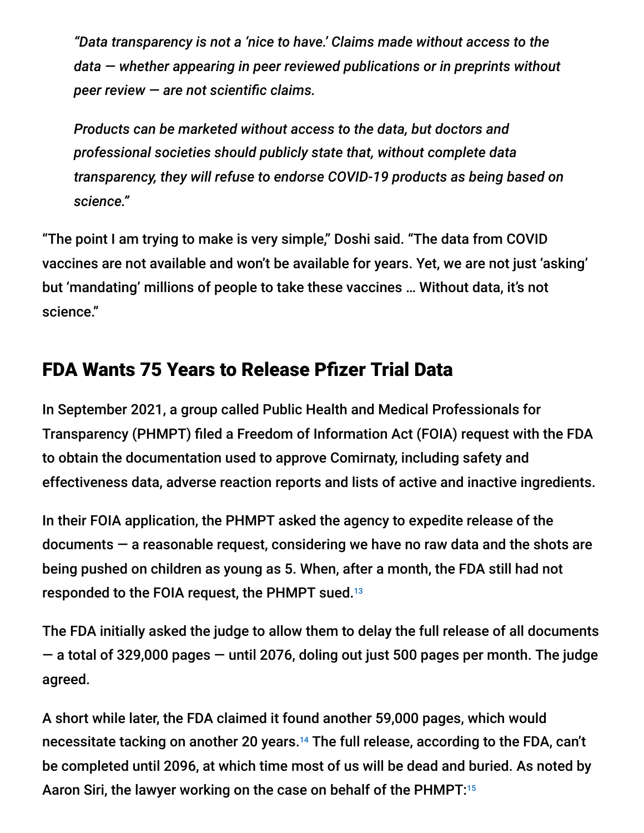*"Data transparency is not a 'nice to have.' Claims made without access to the data — whether appearing in peer reviewed publications or in preprints without peer review — are not scientific claims.*

*Products can be marketed without access to the data, but doctors and professional societies should publicly state that, without complete data transparency, they will refuse to endorse COVID-19 products as being based on science."*

"The point I am trying to make is very simple," Doshi said. "The data from COVID vaccines are not available and won't be available for years. Yet, we are not just 'asking' but 'mandating' millions of people to take these vaccines … Without data, it's not science."

### FDA Wants 75 Years to Release Pfizer Trial Data

In September 2021, a group called Public Health and Medical Professionals for Transparency (PHMPT) filed a Freedom of Information Act (FOIA) request with the FDA to obtain the documentation used to approve Comirnaty, including safety and effectiveness data, adverse reaction reports and lists of active and inactive ingredients.

In their FOIA application, the PHMPT asked the agency to expedite release of the documents — a reasonable request, considering we have no raw data and the shots are being pushed on children as young as 5. When, after a month, the FDA still had not responded to the FOIA request, the PHMPT sued. 13

The FDA initially asked the judge to allow them to delay the full release of all documents  $-$  a total of 329,000 pages  $-$  until 2076, doling out just 500 pages per month. The judge agreed.

A short while later, the FDA claimed it found another 59,000 pages, which would necessitate tacking on another 20 years.<sup>14</sup> The full release, according to the FDA, can't be completed until 2096, at which time most of us will be dead and buried. As noted by Aaron Siri, the lawyer working on the case on behalf of the PHMPT: 15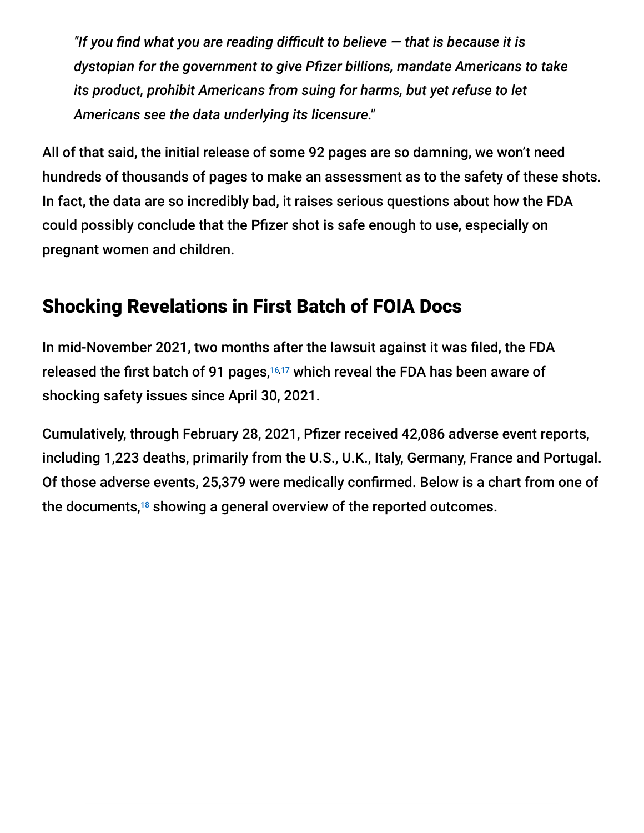*"If you find what you are reading difficult to believe — that is because it is dystopian for the government to give Pfizer billions, mandate Americans to take its product, prohibit Americans from suing for harms, but yet refuse to let Americans see the data underlying its licensure."*

All of that said, the initial release of some 92 pages are so damning, we won't need hundreds of thousands of pages to make an assessment as to the safety of these shots. In fact, the data are so incredibly bad, it raises serious questions about how the FDA could possibly conclude that the Pfizer shot is safe enough to use, especially on pregnant women and children.

### Shocking Revelations in First Batch of FOIA Docs

In mid-November 2021, two months after the lawsuit against it was filed, the FDA released the first batch of 91 pages, $16,17$  which reveal the FDA has been aware of shocking safety issues since April 30, 2021.

Cumulatively, through February 28, 2021, Pfizer received 42,086 adverse event reports, including 1,223 deaths, primarily from the U.S., U.K., Italy, Germany, France and Portugal. Of those adverse events, 25,379 were medically confirmed. Below is a chart from one of the documents, $18$  showing a general overview of the reported outcomes.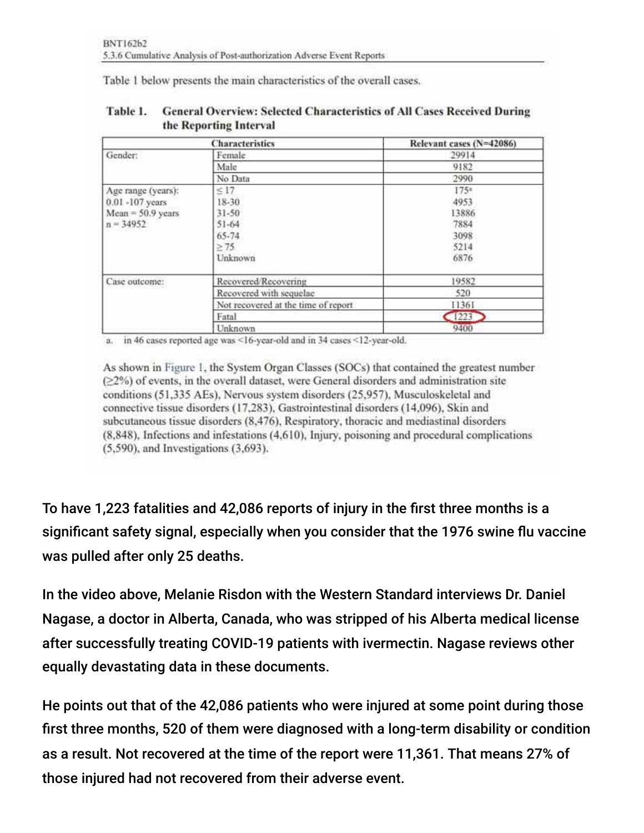Table 1 below presents the main characteristics of the overall cases.

| <b>Characteristics</b>             |                                     | Relevant cases (N=42086) |
|------------------------------------|-------------------------------------|--------------------------|
| Gender:                            | Female                              | 29914                    |
|                                    | Male                                | 9182                     |
|                                    | No Data                             | 2990                     |
| Age range (years):                 | $\leq 17$                           | 1754                     |
| 0.01 -107 years                    | 18-30                               | 4953                     |
| $Mean = 50.9$ years<br>$n = 34952$ | $31 - 50$                           | 13886                    |
|                                    | $51 - 64$                           | 7884                     |
|                                    | 65-74                               | 3098                     |
|                                    | $\geq 75$                           | 5214                     |
|                                    | Unknown                             | 6876                     |
| Case outcome:                      | Recovered/Recovering                | 19582                    |
|                                    | Recovered with sequelae             | 520                      |
|                                    | Not recovered at the time of report | 11361                    |
|                                    | Fatal                               | 1223                     |
|                                    | Unknown                             | 9400                     |

| Table 1. | <b>General Overview: Selected Characteristics of All Cases Received During</b> |
|----------|--------------------------------------------------------------------------------|
|          | the Reporting Interval                                                         |

a. in 46 cases reported age was <16-year-old and in 34 cases <12-year-old.

As shown in Figure 1, the System Organ Classes (SOCs) that contained the greatest number ( $\geq$ 2%) of events, in the overall dataset, were General disorders and administration site conditions (51,335 AEs), Nervous system disorders (25,957), Musculoskeletal and connective tissue disorders (17,283), Gastrointestinal disorders (14,096), Skin and subcutaneous tissue disorders (8,476), Respiratory, thoracic and mediastinal disorders  $(8,848)$ , Infections and infestations  $(4.610)$ , Injury, poisoning and procedural complications  $(5.590)$ , and Investigations  $(3.693)$ .

To have 1,223 fatalities and 42,086 reports of injury in the first three months is a significant safety signal, especially when you consider that the 1976 swine flu vaccine was pulled after only 25 deaths.

In the video above, Melanie Risdon with the Western Standard interviews Dr. Daniel Nagase, a doctor in Alberta, Canada, who was stripped of his Alberta medical license after successfully treating COVID-19 patients with ivermectin. Nagase reviews other equally devastating data in these documents.

He points out that of the 42,086 patients who were injured at some point during those first three months, 520 of them were diagnosed with a long-term disability or condition as a result. Not recovered at the time of the report were 11,361. That means 27% of those injured had not recovered from their adverse event.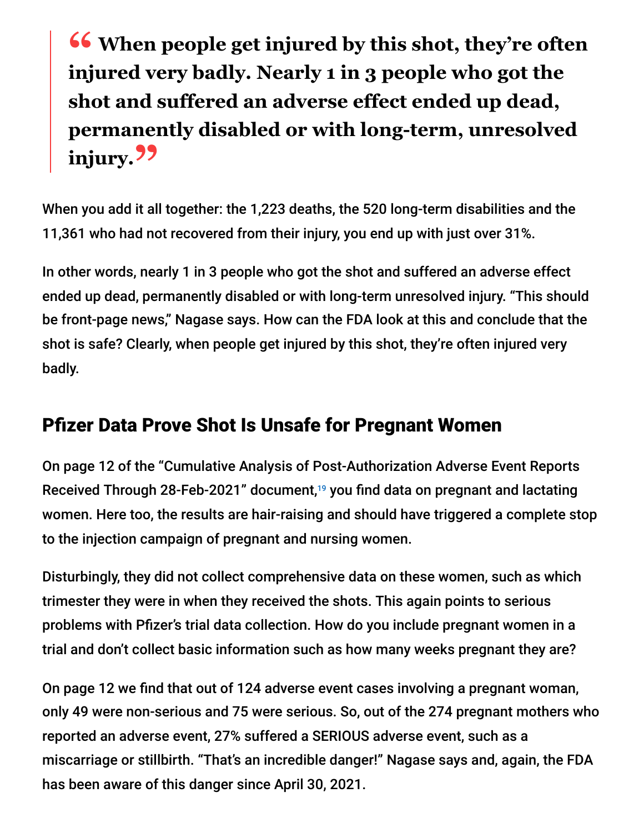**<sup>66</sup>** When people get injured by this shot, they're often injured very hadly Nearly 1 in 2 neonle who got the **injured very badly. Nearly 1 in 3 people who got the shot and suffered an adverse effect ended up dead, permanently disabled or with long-term, unresolved injury."**

When you add it all together: the 1,223 deaths, the 520 long-term disabilities and the 11,361 who had not recovered from their injury, you end up with just over 31%.

In other words, nearly 1 in 3 people who got the shot and suffered an adverse effect ended up dead, permanently disabled or with long-term unresolved injury. "This should be front-page news," Nagase says. How can the FDA look at this and conclude that the shot is safe? Clearly, when people get injured by this shot, they're often injured very badly.

## Pfizer Data Prove Shot Is Unsafe for Pregnant Women

On page 12 of the "Cumulative Analysis of Post-Authorization Adverse Event Reports Received Through 28-Feb-2021" document,<sup>19</sup> you find data on pregnant and lactating women. Here too, the results are hair-raising and should have triggered a complete stop to the injection campaign of pregnant and nursing women.

Disturbingly, they did not collect comprehensive data on these women, such as which trimester they were in when they received the shots. This again points to serious problems with Pfizer's trial data collection. How do you include pregnant women in a trial and don't collect basic information such as how many weeks pregnant they are?

On page 12 we find that out of 124 adverse event cases involving a pregnant woman, only 49 were non-serious and 75 were serious. So, out of the 274 pregnant mothers who reported an adverse event, 27% suffered a SERIOUS adverse event, such as a miscarriage or stillbirth. "That's an incredible danger!" Nagase says and, again, the FDA has been aware of this danger since April 30, 2021.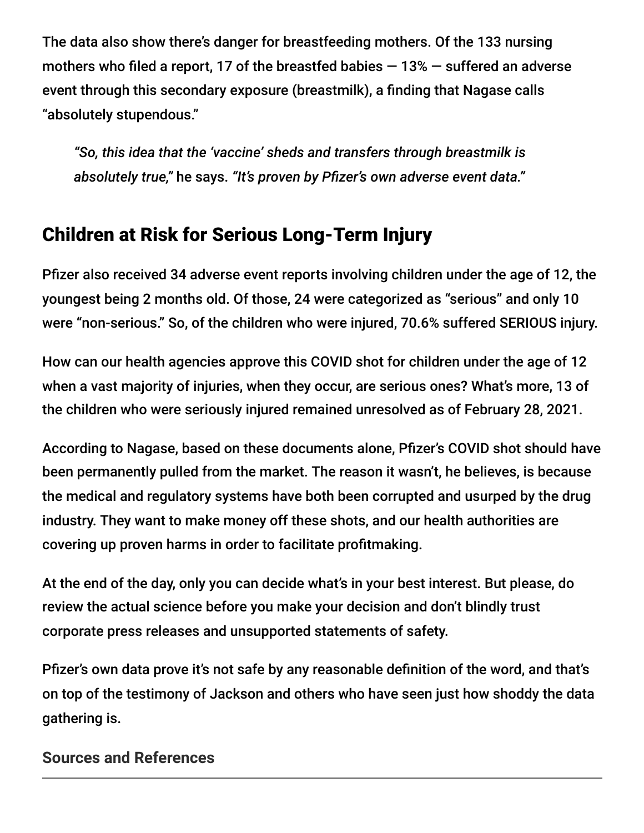The data also show there's danger for breastfeeding mothers. Of the 133 nursing mothers who filed a report, 17 of the breastfed babies  $-13\%$  – suffered an adverse event through this secondary exposure (breastmilk), a finding that Nagase calls "absolutely stupendous."

*"So, this idea that the 'vaccine' sheds and transfers through breastmilk is absolutely true,"* he says. *"It's proven by Pfizer's own adverse event data."*

## Children at Risk for Serious Long-Term Injury

Pfizer also received 34 adverse event reports involving children under the age of 12, the youngest being 2 months old. Of those, 24 were categorized as "serious" and only 10 were "non-serious." So, of the children who were injured, 70.6% suffered SERIOUS injury.

How can our health agencies approve this COVID shot for children under the age of 12 when a vast majority of injuries, when they occur, are serious ones? What's more, 13 of the children who were seriously injured remained unresolved as of February 28, 2021.

According to Nagase, based on these documents alone, Pfizer's COVID shot should have been permanently pulled from the market. The reason it wasn't, he believes, is because the medical and regulatory systems have both been corrupted and usurped by the drug industry. They want to make money off these shots, and our health authorities are covering up proven harms in order to facilitate profitmaking.

At the end of the day, only you can decide what's in your best interest. But please, do review the actual science before you make your decision and don't blindly trust corporate press releases and unsupported statements of safety.

Pfizer's own data prove it's not safe by any reasonable definition of the word, and that's on top of the testimony of Jackson and others who have seen just how shoddy the data gathering is.

#### **Sources and References**